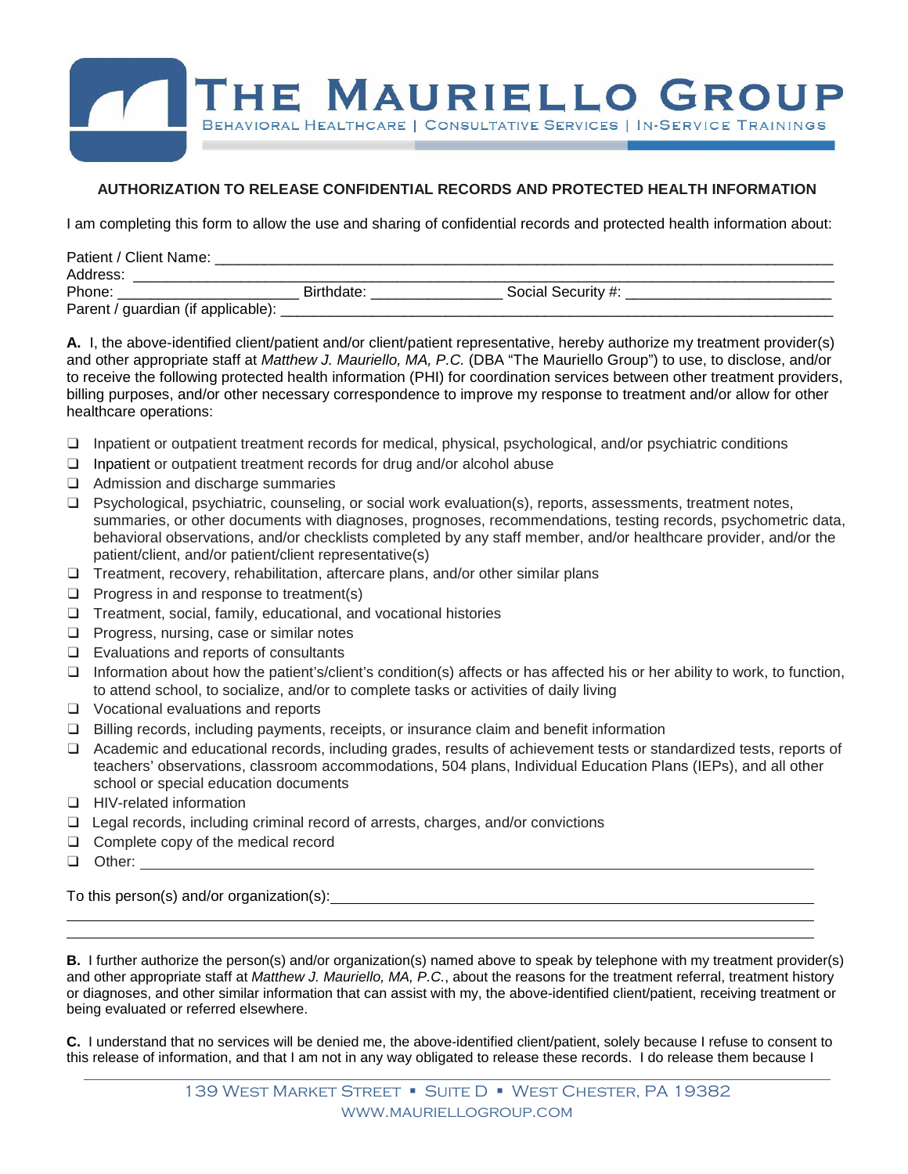

## **AUTHORIZATION TO RELEASE CONFIDENTIAL RECORDS AND PROTECTED HEALTH INFORMATION**

I am completing this form to allow the use and sharing of confidential records and protected health information about:

| Patient / Client Name:             |            |                    |  |
|------------------------------------|------------|--------------------|--|
| Address:                           |            |                    |  |
| Phone:                             | Birthdate: | Social Security #: |  |
| Parent / guardian (if applicable): |            |                    |  |

**A.** I, the above-identified client/patient and/or client/patient representative, hereby authorize my treatment provider(s) and other appropriate staff at *Matthew J. Mauriello, MA, P.C.* (DBA "The Mauriello Group") to use, to disclose, and/or to receive the following protected health information (PHI) for coordination services between other treatment providers, billing purposes, and/or other necessary correspondence to improve my response to treatment and/or allow for other healthcare operations:

- ❑ Inpatient or outpatient treatment records for medical, physical, psychological, and/or psychiatric conditions
- ❑ Inpatient or outpatient treatment records for drug and/or alcohol abuse
- ❑ Admission and discharge summaries
- ❑ Psychological, psychiatric, counseling, or social work evaluation(s), reports, assessments, treatment notes, summaries, or other documents with diagnoses, prognoses, recommendations, testing records, psychometric data, behavioral observations, and/or checklists completed by any staff member, and/or healthcare provider, and/or the patient/client, and/or patient/client representative(s)
- ❑ Treatment, recovery, rehabilitation, aftercare plans, and/or other similar plans
- ❑ Progress in and response to treatment(s)
- ❑ Treatment, social, family, educational, and vocational histories
- ❑ Progress, nursing, case or similar notes
- ❑ Evaluations and reports of consultants
- $\Box$  Information about how the patient's/client's condition(s) affects or has affected his or her ability to work, to function, to attend school, to socialize, and/or to complete tasks or activities of daily living
- ❑ Vocational evaluations and reports
- ❑ Billing records, including payments, receipts, or insurance claim and benefit information
- ❑ Academic and educational records, including grades, results of achievement tests or standardized tests, reports of teachers' observations, classroom accommodations, 504 plans, Individual Education Plans (IEPs), and all other school or special education documents
- ❑ HIV-related information
- ❑ Legal records, including criminal record of arrests, charges, and/or convictions
- ❑ Complete copy of the medical record
- ❑ Other:

To this person(s) and/or organization(s):

**B.** I further authorize the person(s) and/or organization(s) named above to speak by telephone with my treatment provider(s) and other appropriate staff at *Matthew J. Mauriello, MA, P.C.*, about the reasons for the treatment referral, treatment history or diagnoses, and other similar information that can assist with my, the above-identified client/patient, receiving treatment or being evaluated or referred elsewhere.

**C.** I understand that no services will be denied me, the above-identified client/patient, solely because I refuse to consent to this release of information, and that I am not in any way obligated to release these records. I do release them because I